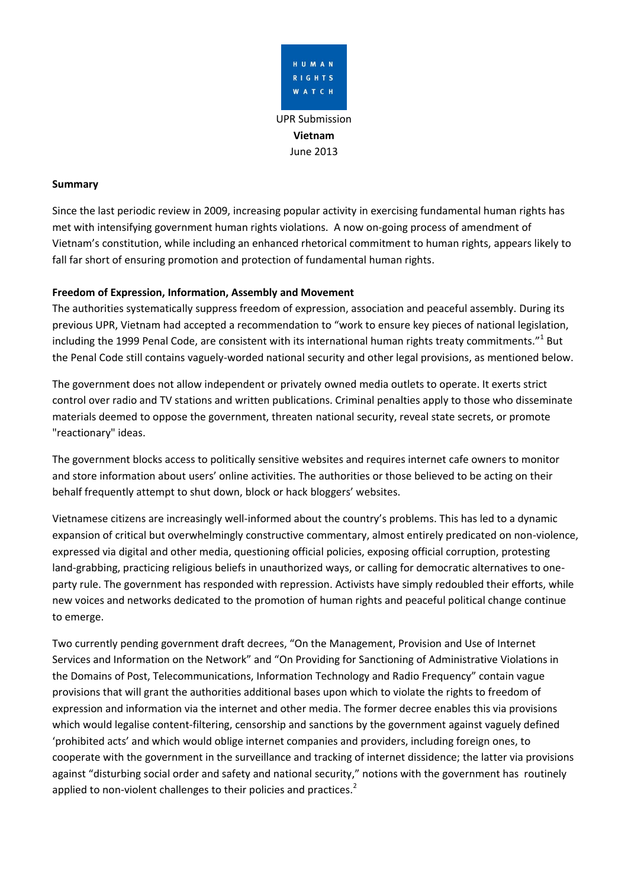

# **Summary**

Since the last periodic review in 2009, increasing popular activity in exercising fundamental human rights has met with intensifying government human rights violations. A now on-going process of amendment of Vietnam's constitution, while including an enhanced rhetorical commitment to human rights, appears likely to fall far short of ensuring promotion and protection of fundamental human rights.

## **Freedom of Expression, Information, Assembly and Movement**

The authorities systematically suppress freedom of expression, association and peaceful assembly. During its previous UPR, Vietnam had accepted a recommendation to "work to ensure key pieces of national legislation, including the 1999 Penal Code, are consistent with its international human rights treaty commitments."<sup>1</sup> But the Penal Code still contains vaguely-worded national security and other legal provisions, as mentioned below.

The government does not allow independent or privately owned media outlets to operate. It exerts strict control over radio and TV stations and written publications. Criminal penalties apply to those who disseminate materials deemed to oppose the government, threaten national security, reveal state secrets, or promote "reactionary" ideas.

The government blocks access to politically sensitive websites and requires internet cafe owners to monitor and store information about users' online activities. The authorities or those believed to be acting on their behalf frequently attempt to shut down, block or hack bloggers' websites.

Vietnamese citizens are increasingly well-informed about the country's problems. This has led to a dynamic expansion of critical but overwhelmingly constructive commentary, almost entirely predicated on non-violence, expressed via digital and other media, questioning official policies, exposing official corruption, protesting land-grabbing, practicing religious beliefs in unauthorized ways, or calling for democratic alternatives to oneparty rule. The government has responded with repression. Activists have simply redoubled their efforts, while new voices and networks dedicated to the promotion of human rights and peaceful political change continue to emerge.

Two currently pending government draft decrees, "On the Management, Provision and Use of Internet Services and Information on the Network" and "On Providing for Sanctioning of Administrative Violations in the Domains of Post, Telecommunications, Information Technology and Radio Frequency" contain vague provisions that will grant the authorities additional bases upon which to violate the rights to freedom of expression and information via the internet and other media. The former decree enables this via provisions which would legalise content-filtering, censorship and sanctions by the government against vaguely defined 'prohibited acts' and which would oblige internet companies and providers, including foreign ones, to cooperate with the government in the surveillance and tracking of internet dissidence; the latter via provisions against "disturbing social order and safety and national security," notions with the government has routinely applied to non-violent challenges to their policies and practices.<sup>2</sup>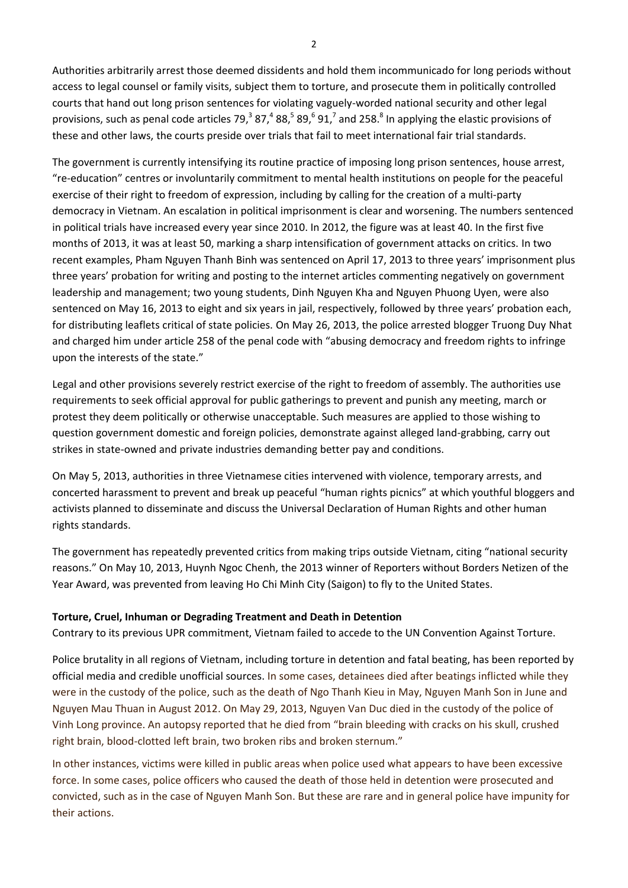Authorities arbitrarily arrest those deemed dissidents and hold them incommunicado for long periods without access to legal counsel or family visits, subject them to torture, and prosecute them in politically controlled courts that hand out long prison sentences for violating vaguely-worded national security and other legal provisions, such as penal code articles 79,<sup>3</sup> 87,<sup>4</sup> 88,<sup>5</sup> 89,<sup>6</sup> 91,<sup>7</sup> and 258.<sup>8</sup> In applying the elastic provisions of these and other laws, the courts preside over trials that fail to meet international fair trial standards.

The government is currently intensifying its routine practice of imposing long prison sentences, house arrest, "re-education" centres or involuntarily commitment to mental health institutions on people for the peaceful exercise of their right to freedom of expression, including by calling for the creation of a multi-party democracy in Vietnam. An escalation in political imprisonment is clear and worsening. The numbers sentenced in political trials have increased every year since 2010. In 2012, the figure was at least 40. In the first five months of 2013, it was at least 50, marking a sharp intensification of government attacks on critics. In two recent examples, Pham Nguyen Thanh Binh was sentenced on April 17, 2013 to three years' imprisonment plus three years' probation for writing and posting to the internet articles commenting negatively on government leadership and management; two young students, Dinh Nguyen Kha and Nguyen Phuong Uyen, were also sentenced on May 16, 2013 to eight and six years in jail, respectively, followed by three years' probation each, for distributing leaflets critical of state policies. On May 26, 2013, the police arrested blogger Truong Duy Nhat and charged him under article 258 of the penal code with "abusing democracy and freedom rights to infringe upon the interests of the state."

Legal and other provisions severely restrict exercise of the right to freedom of assembly. The authorities use requirements to seek official approval for public gatherings to prevent and punish any meeting, march or protest they deem politically or otherwise unacceptable. Such measures are applied to those wishing to question government domestic and foreign policies, demonstrate against alleged land-grabbing, carry out strikes in state-owned and private industries demanding better pay and conditions.

On May 5, 2013, authorities in three Vietnamese cities intervened with violence, temporary arrests, and concerted harassment to prevent and break up peaceful "human rights picnics" at which youthful bloggers and activists planned to disseminate and discuss the Universal Declaration of Human Rights and other human rights standards.

The government has repeatedly prevented critics from making trips outside Vietnam, citing "national security reasons." On May 10, 2013, Huynh Ngoc Chenh, the 2013 winner of Reporters without Borders Netizen of the Year Award, was prevented from leaving Ho Chi Minh City (Saigon) to fly to the United States.

#### **Torture, Cruel, Inhuman or Degrading Treatment and Death in Detention**

Contrary to its previous UPR commitment, Vietnam failed to accede to the UN Convention Against Torture.

Police brutality in all regions of Vietnam, including torture in detention and fatal beating, has been reported by official media and credible unofficial sources. In some cases, detainees died after beatings inflicted while they were in the custody of the police, such as the death of Ngo Thanh Kieu in May, Nguyen Manh Son in June and Nguyen Mau Thuan in August 2012. On May 29, 2013, Nguyen Van Duc died in the custody of the police of Vinh Long province. An autopsy reported that he died from "brain bleeding with cracks on his skull, crushed right brain, blood-clotted left brain, two broken ribs and broken sternum."

In other instances, victims were killed in public areas when police used what appears to have been excessive force. In some cases, police officers who caused the death of those held in detention were prosecuted and convicted, such as in the case of Nguyen Manh Son. But these are rare and in general police have impunity for their actions.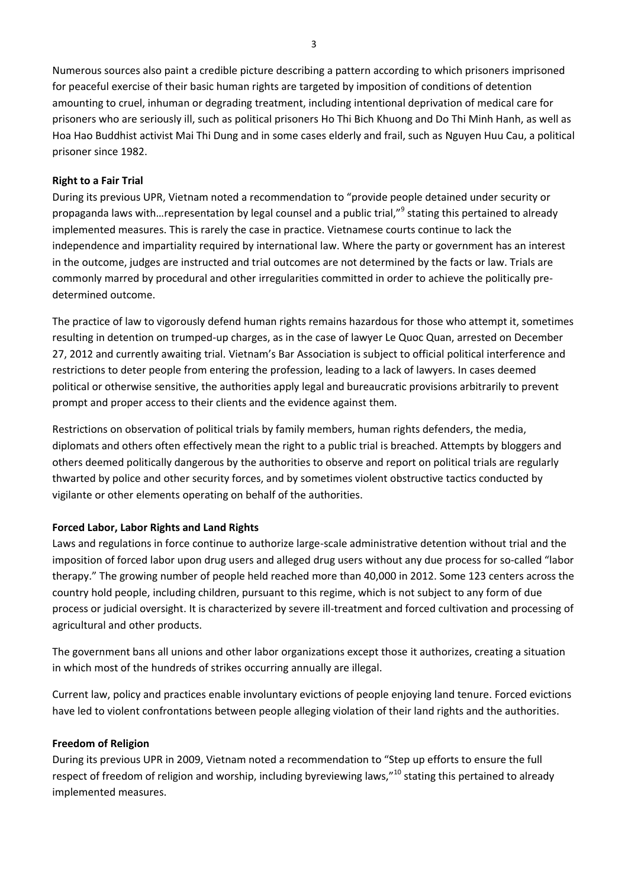Numerous sources also paint a credible picture describing a pattern according to which prisoners imprisoned for peaceful exercise of their basic human rights are targeted by imposition of conditions of detention amounting to cruel, inhuman or degrading treatment, including intentional deprivation of medical care for prisoners who are seriously ill, such as political prisoners Ho Thi Bich Khuong and Do Thi Minh Hanh, as well as Hoa Hao Buddhist activist Mai Thi Dung and in some cases elderly and frail, such as Nguyen Huu Cau, a political prisoner since 1982.

### **Right to a Fair Trial**

During its previous UPR, Vietnam noted a recommendation to "provide people detained under security or propaganda laws with...representation by legal counsel and a public trial,"<sup>9</sup> stating this pertained to already implemented measures. This is rarely the case in practice. Vietnamese courts continue to lack the independence and impartiality required by international law. Where the party or government has an interest in the outcome, judges are instructed and trial outcomes are not determined by the facts or law. Trials are commonly marred by procedural and other irregularities committed in order to achieve the politically predetermined outcome.

The practice of law to vigorously defend human rights remains hazardous for those who attempt it, sometimes resulting in detention on trumped-up charges, as in the case of lawyer Le Quoc Quan, arrested on December 27, 2012 and currently awaiting trial. Vietnam's Bar Association is subject to official political interference and restrictions to deter people from entering the profession, leading to a lack of lawyers. In cases deemed political or otherwise sensitive, the authorities apply legal and bureaucratic provisions arbitrarily to prevent prompt and proper access to their clients and the evidence against them.

Restrictions on observation of political trials by family members, human rights defenders, the media, diplomats and others often effectively mean the right to a public trial is breached. Attempts by bloggers and others deemed politically dangerous by the authorities to observe and report on political trials are regularly thwarted by police and other security forces, and by sometimes violent obstructive tactics conducted by vigilante or other elements operating on behalf of the authorities.

# **Forced Labor, Labor Rights and Land Rights**

Laws and regulations in force continue to authorize large-scale administrative detention without trial and the imposition of forced labor upon drug users and alleged drug users without any due process for so-called "labor therapy." The growing number of people held reached more than 40,000 in 2012. Some 123 centers across the country hold people, including children, pursuant to this regime, which is not subject to any form of due process or judicial oversight. It is characterized by severe ill-treatment and forced cultivation and processing of agricultural and other products.

The government bans all unions and other labor organizations except those it authorizes, creating a situation in which most of the hundreds of strikes occurring annually are illegal.

Current law, policy and practices enable involuntary evictions of people enjoying land tenure. Forced evictions have led to violent confrontations between people alleging violation of their land rights and the authorities.

#### **Freedom of Religion**

During its previous UPR in 2009, Vietnam noted a recommendation to "Step up efforts to ensure the full respect of freedom of religion and worship, including byreviewing laws," $10$  stating this pertained to already implemented measures.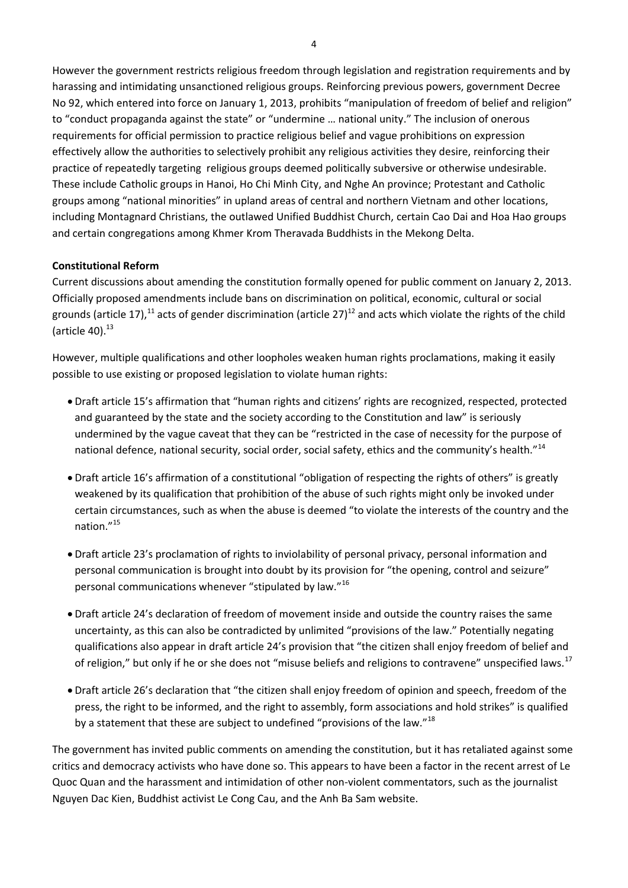However the government restricts religious freedom through legislation and registration requirements and by harassing and intimidating unsanctioned religious groups. Reinforcing previous powers, government Decree No 92, which entered into force on January 1, 2013, prohibits "manipulation of freedom of belief and religion" to "conduct propaganda against the state" or "undermine … national unity." The inclusion of onerous requirements for official permission to practice religious belief and vague prohibitions on expression effectively allow the authorities to selectively prohibit any religious activities they desire, reinforcing their practice of repeatedly targeting religious groups deemed politically subversive or otherwise undesirable. These include Catholic groups in Hanoi, Ho Chi Minh City, and Nghe An province; Protestant and Catholic groups among "national minorities" in upland areas of central and northern Vietnam and other locations, including Montagnard Christians, the outlawed Unified Buddhist Church, certain Cao Dai and Hoa Hao groups and certain congregations among Khmer Krom Theravada Buddhists in the Mekong Delta.

#### **Constitutional Reform**

Current discussions about amending the constitution formally opened for public comment on January 2, 2013. Officially proposed amendments include bans on discrimination on political, economic, cultural or social grounds (article 17),<sup>11</sup> acts of gender discrimination (article 27)<sup>12</sup> and acts which violate the rights of the child  $(\text{article }40).^{13}$ 

However, multiple qualifications and other loopholes weaken human rights proclamations, making it easily possible to use existing or proposed legislation to violate human rights:

- Draft article 15's affirmation that "human rights and citizens' rights are recognized, respected, protected and guaranteed by the state and the society according to the Constitution and law" is seriously undermined by the vague caveat that they can be "restricted in the case of necessity for the purpose of national defence, national security, social order, social safety, ethics and the community's health."<sup>14</sup>
- Draft article 16's affirmation of a constitutional "obligation of respecting the rights of others" is greatly weakened by its qualification that prohibition of the abuse of such rights might only be invoked under certain circumstances, such as when the abuse is deemed "to violate the interests of the country and the nation."<sup>15</sup>
- Draft article 23's proclamation of rights to inviolability of personal privacy, personal information and personal communication is brought into doubt by its provision for "the opening, control and seizure" personal communications whenever "stipulated by law."<sup>16</sup>
- Draft article 24's declaration of freedom of movement inside and outside the country raises the same uncertainty, as this can also be contradicted by unlimited "provisions of the law." Potentially negating qualifications also appear in draft article 24's provision that "the citizen shall enjoy freedom of belief and of religion," but only if he or she does not "misuse beliefs and religions to contravene" unspecified laws.<sup>17</sup>
- Draft article 26's declaration that "the citizen shall enjoy freedom of opinion and speech, freedom of the press, the right to be informed, and the right to assembly, form associations and hold strikes" is qualified by a statement that these are subject to undefined "provisions of the law."<sup>18</sup>

The government has invited public comments on amending the constitution, but it has retaliated against some critics and democracy activists who have done so. This appears to have been a factor in the recent arrest of Le Quoc Quan and the harassment and intimidation of other non-violent commentators, such as the journalist Nguyen Dac Kien, Buddhist activist Le Cong Cau, and the Anh Ba Sam website.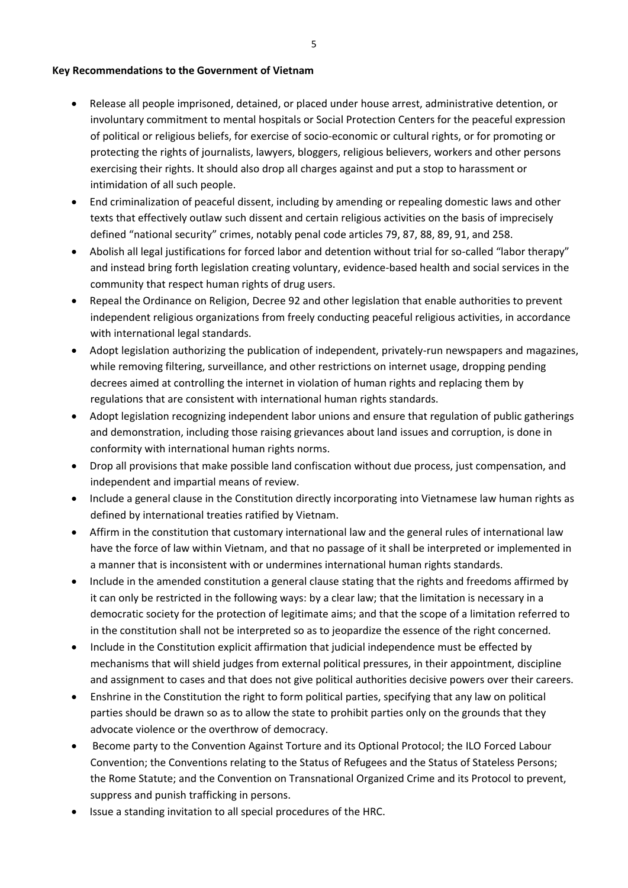#### **Key Recommendations to the Government of Vietnam**

- Release all people imprisoned, detained, or placed under house arrest, administrative detention, or involuntary commitment to mental hospitals or Social Protection Centers for the peaceful expression of political or religious beliefs, for exercise of socio-economic or cultural rights, or for promoting or protecting the rights of journalists, lawyers, bloggers, religious believers, workers and other persons exercising their rights. It should also drop all charges against and put a stop to harassment or intimidation of all such people.
- End criminalization of peaceful dissent, including by amending or repealing domestic laws and other texts that effectively outlaw such dissent and certain religious activities on the basis of imprecisely defined "national security" crimes, notably penal code articles 79, 87, 88, 89, 91, and 258.
- Abolish all legal justifications for forced labor and detention without trial for so-called "labor therapy" and instead bring forth legislation creating voluntary, evidence-based health and social services in the community that respect human rights of drug users.
- Repeal the Ordinance on Religion, Decree 92 and other legislation that enable authorities to prevent independent religious organizations from freely conducting peaceful religious activities, in accordance with international legal standards.
- Adopt legislation authorizing the publication of independent, privately-run newspapers and magazines, while removing filtering, surveillance, and other restrictions on internet usage, dropping pending decrees aimed at controlling the internet in violation of human rights and replacing them by regulations that are consistent with international human rights standards.
- Adopt legislation recognizing independent labor unions and ensure that regulation of public gatherings and demonstration, including those raising grievances about land issues and corruption, is done in conformity with international human rights norms.
- Drop all provisions that make possible land confiscation without due process, just compensation, and independent and impartial means of review.
- Include a general clause in the Constitution directly incorporating into Vietnamese law human rights as defined by international treaties ratified by Vietnam.
- Affirm in the constitution that customary international law and the general rules of international law have the force of law within Vietnam, and that no passage of it shall be interpreted or implemented in a manner that is inconsistent with or undermines international human rights standards.
- Include in the amended constitution a general clause stating that the rights and freedoms affirmed by it can only be restricted in the following ways: by a clear law; that the limitation is necessary in a democratic society for the protection of legitimate aims; and that the scope of a limitation referred to in the constitution shall not be interpreted so as to jeopardize the essence of the right concerned.
- Include in the Constitution explicit affirmation that judicial independence must be effected by mechanisms that will shield judges from external political pressures, in their appointment, discipline and assignment to cases and that does not give political authorities decisive powers over their careers.
- Enshrine in the Constitution the right to form political parties, specifying that any law on political parties should be drawn so as to allow the state to prohibit parties only on the grounds that they advocate violence or the overthrow of democracy.
- Become party to the Convention Against Torture and its Optional Protocol; the ILO Forced Labour Convention; the Conventions relating to the Status of Refugees and the Status of Stateless Persons; the Rome Statute; and the Convention on Transnational Organized Crime and its Protocol to prevent, suppress and punish trafficking in persons.
- Issue a standing invitation to all special procedures of the HRC.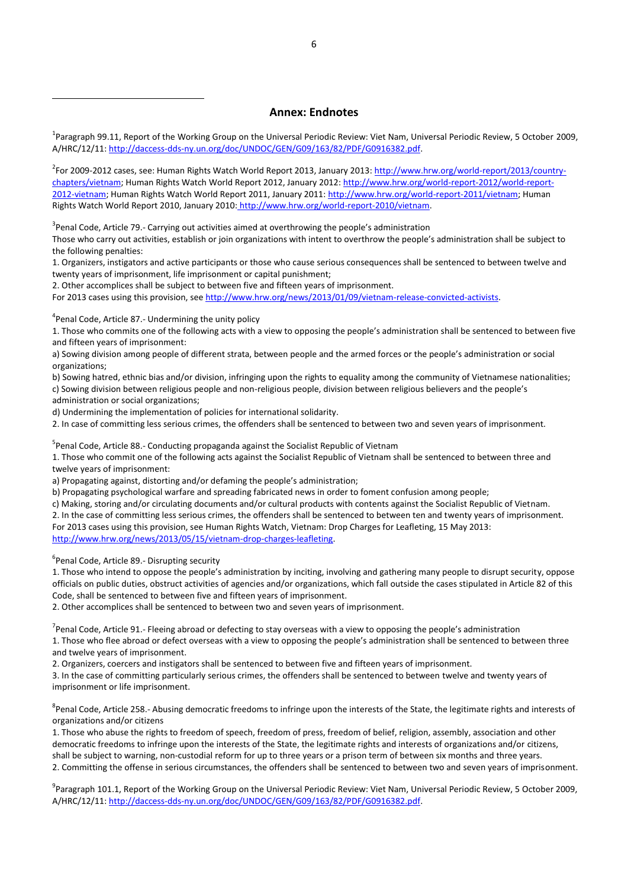#### **Annex: Endnotes**

<sup>1</sup>Paragraph 99.11, Report of the Working Group on the Universal Periodic Review: Viet Nam, Universal Periodic Review, 5 October 2009, A/HRC/12/11[: http://daccess-dds-ny.un.org/doc/UNDOC/GEN/G09/163/82/PDF/G0916382.pdf.](http://daccess-dds-ny.un.org/doc/UNDOC/GEN/G09/163/82/PDF/G0916382.pdf)

<sup>2</sup>For 2009-2012 cases, see: Human Rights Watch World Report 2013, January 2013: <u>http://www.hrw.org/world-report/2013/country</u>[chapters/vietnam;](http://www.hrw.org/world-report/2013/country-chapters/vietnam) Human Rights Watch World Report 2012, January 2012[: http://www.hrw.org/world-report-2012/world-report-](http://www.hrw.org/world-report-2012/world-report-2012-vietnam)[2012-vietnam;](http://www.hrw.org/world-report-2012/world-report-2012-vietnam) Human Rights Watch World Report 2011, January 2011: [http://www.hrw.org/world-report-2011/vietnam;](http://www.hrw.org/world-report-2011/vietnam) Human Rights Watch World Report 2010, January 2010: [http://www.hrw.org/world-report-2010/vietnam.](http://www.hrw.org/world-report-2010/vietnam)

<sup>3</sup> Penal Code, Article 79.- Carrying out activities aimed at overthrowing the people's administration

Those who carry out activities, establish or join organizations with intent to overthrow the people's administration shall be subject to the following penalties:

1. Organizers, instigators and active participants or those who cause serious consequences shall be sentenced to between twelve and twenty years of imprisonment, life imprisonment or capital punishment;

2. Other accomplices shall be subject to between five and fifteen years of imprisonment.

For 2013 cases using this provision, see [http://www.hrw.org/news/2013/01/09/vietnam-release-convicted-activists.](http://www.hrw.org/news/2013/01/09/vietnam-release-convicted-activists)

<sup>4</sup>Penal Code, Article 87.- Undermining the unity policy

 $\overline{a}$ 

1. Those who commits one of the following acts with a view to opposing the people's administration shall be sentenced to between five and fifteen years of imprisonment:

a) Sowing division among people of different strata, between people and the armed forces or the people's administration or social organizations;

b) Sowing hatred, ethnic bias and/or division, infringing upon the rights to equality among the community of Vietnamese nationalities; c) Sowing division between religious people and non-religious people, division between religious believers and the people's administration or social organizations;

d) Undermining the implementation of policies for international solidarity.

2. In case of committing less serious crimes, the offenders shall be sentenced to between two and seven years of imprisonment.

<sup>5</sup>Penal Code, Article 88.- Conducting propaganda against the Socialist Republic of Vietnam

1. Those who commit one of the following acts against the Socialist Republic of Vietnam shall be sentenced to between three and twelve years of imprisonment:

a) Propagating against, distorting and/or defaming the people's administration;

b) Propagating psychological warfare and spreading fabricated news in order to foment confusion among people;

c) Making, storing and/or circulating documents and/or cultural products with contents against the Socialist Republic of Vietnam.

2. In the case of committing less serious crimes, the offenders shall be sentenced to between ten and twenty years of imprisonment. For 2013 cases using this provision, see Human Rights Watch, Vietnam: Drop Charges for Leafleting, 15 May 2013: [http://www.hrw.org/news/2013/05/15/vietnam-drop-charges-leafleting.](http://www.hrw.org/news/2013/05/15/vietnam-drop-charges-leafleting)

<sup>6</sup>Penal Code, Article 89.- Disrupting security

1. Those who intend to oppose the people's administration by inciting, involving and gathering many people to disrupt security, oppose officials on public duties, obstruct activities of agencies and/or organizations, which fall outside the cases stipulated in Article 82 of this Code, shall be sentenced to between five and fifteen years of imprisonment.

2. Other accomplices shall be sentenced to between two and seven years of imprisonment.

<sup>7</sup>Penal Code, Article 91.- Fleeing abroad or defecting to stay overseas with a view to opposing the people's administration 1. Those who flee abroad or defect overseas with a view to opposing the people's administration shall be sentenced to between three and twelve years of imprisonment.

2. Organizers, coercers and instigators shall be sentenced to between five and fifteen years of imprisonment.

3. In the case of committing particularly serious crimes, the offenders shall be sentenced to between twelve and twenty years of imprisonment or life imprisonment.

<sup>8</sup>Penal Code, Article 258.- Abusing democratic freedoms to infringe upon the interests of the State, the legitimate rights and interests of organizations and/or citizens

1. Those who abuse the rights to freedom of speech, freedom of press, freedom of belief, religion, assembly, association and other democratic freedoms to infringe upon the interests of the State, the legitimate rights and interests of organizations and/or citizens, shall be subject to warning, non-custodial reform for up to three years or a prison term of between six months and three years. 2. Committing the offense in serious circumstances, the offenders shall be sentenced to between two and seven years of imprisonment.

<sup>9</sup>Paragraph 101.1, Report of the Working Group on the Universal Periodic Review: Viet Nam, Universal Periodic Review, 5 October 2009, A/HRC/12/11[: http://daccess-dds-ny.un.org/doc/UNDOC/GEN/G09/163/82/PDF/G0916382.pdf.](http://daccess-dds-ny.un.org/doc/UNDOC/GEN/G09/163/82/PDF/G0916382.pdf)